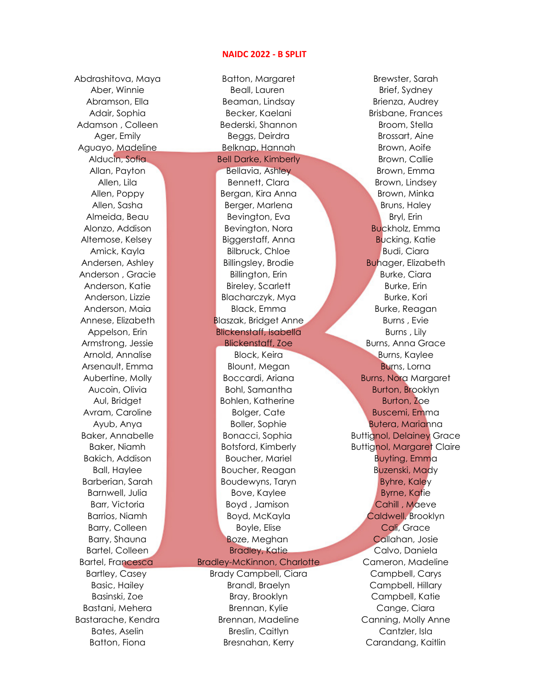## NAIDC 2022 - B SPLIT

Abdrashitova, Maya Batton, Margaret Brewster, Sarah

Aber, Winnie Beall, Lauren Brief, Sydney Abramson, Ella Beaman, Lindsay Brienza, Audrey Adair, Sophia **Becker, Kaelani** Brisbane, Frances Adamson , Colleen Bederski, Shannon Broom, Stella Ager, Emily Beggs, Deirdra Brossart, Aine Aguayo, Madeline Belknap, Hannah Brown, Aoife Alducin, Sofia **Bell Darke, Kimberly Brown, Callie** Brown, Callie Allan, Payton **Bellavia, Ashley Brown, Emma** Allen, Lila Bennett, Clara Brown, Lindsey Allen, Poppy Bergan, Kira Anna Brown, Minka Allen, Sasha Berger, Marlena Bruns, Haley Almeida, Beau Bevington, Eva Bryl, Erin Alonzo, Addison Bevington, Nora Buckholz, Emma Altemose, Kelsey Biggerstaff, Anna Bucking, Katie Amick, Kayla Bilbruck, Chloe Budi, Ciara Andersen, Ashley Billingsley, Brodie Buhager, Elizabeth Anderson , Gracie **Billington, Erin Burke, Ciara** Anderson, Katie Bireley, Scarlett Burke, Erin Anderson, Lizzie Blacharczyk, Mya Burke, Kori Anderson, Maia Black, Emma Burke, Reagan Annese, Elizabeth **Blaszak, Bridget Anne** Burns , Evie Appelson, Erin Blickenstaff, Isabella Burns , Lily Armstrong, Jessie **Blickenstaff, Zoe Burns, Anna Grace** 

Arnold, Annalise Block, Keira Burns, Kaylee Arsenault, Emma Blount, Megan Burns, Lorna Aucoin, Olivia **Bohl, Samantha** Bohl, Samantha Burton, Brooklyn Aul, Bridget **Bohlen, Katherine Burton, Zoe** Avram, Caroline **Bolger, Cate** Bolger, Cate Buscemi, Emma Ayub, Anya Boller, Sophie Butera, Marianna Bakich, Addison Boucher, Mariel Buyting, Emma Ball, Haylee **Boucher, Reagan** Buzenski, Mady Barberian, Sarah **Brunder Boudewyns, Taryn Byhre, Kaley** Barnwell, Julia Bove, Kaylee Bove, Kaylee Byrne, Katie Barr, Victoria **Boyd** , Jamison Cahill , Maeve Barry, Colleen **Boyle, Elise** Cali, Grace Barry, Shauna **Boxe, Meghan** Callahan, Josie Bartel, Colleen Bradley, Katie Calvo, Daniela

Bartley, Casey **Brady Campbell, Ciara** Campbell, Carys Basic, Hailey Brandl, Braelyn Campbell, Hillary Basinski, Zoe Bray, Brooklyn Campbell, Katie Bastani, Mehera Brennan, Kylie Cange, Ciara Bastarache, Kendra **Brennan, Madeline Canning, Molly Anne** Bates, Aselin **Breslin, Caitlyn** Cantzler, Isla Batton, Fiona **Bresnahan, Kerry Carandang, Kaitlin** 

Aubertine, Molly **Boccardi, Ariana Burns, Nora Margaret** Baker, Annabelle **Bonacci, Sophia Buttignol, Delainey Grace** Baker, Niamh **Botsford, Kimberly Buttignol, Margaret Claire** Barrios, Niamh Boyd, McKayla Caldwell, Brooklyn Bartel, Francesca Bradley-McKinnon, Charlotte Cameron, Madeline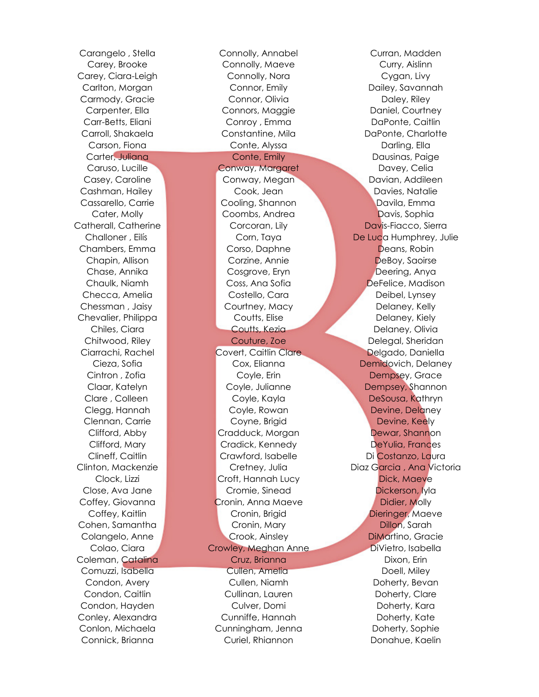Carey, Brooke Connolly, Maeve Curry, Aislinn Carey, Ciara-Leigh Connolly, Nora Cygan, Livy Carlton, Morgan Connor, Emily Dailey, Savannah Carmody, Gracie Connor, Olivia Daley, Riley Carpenter, Ella Connors, Maggie Company, Daniel, Courtney Carr-Betts, Eliani Conroy , Emma DaPonte, Caitlin Carroll, Shakaela **Constantine, Mila** DaPonte, Charlotte Carson, Fiona Conte, Alyssa Darling, Ella Carter, Juliana Conte, Emily Dausinas, Paige Caruso, Lucille Conway, Margaret Davey, Celia Casey, Caroline Conway, Megan Davian, Addileen Cashman, Hailey **Cook, Jean Davies, Natalie** Cassarello, Carrie **Cooling, Shannon Cassarello, Carrie Cooling**, Shannon **Cassarello, Carrie Cooling, Shannon** Cater, Molly Coombs, Andrea Davis, Sophia Catherall, Catherine **Corcoran, Lily Corcoran, Lily Davis-Fiacco**, Sierra Challoner , Eilís Corn, Taya De Luca Humphrey, Julie Chambers, Emma Corso, Daphne Deans, Robin Chapin, Allison Corzine, Annie DeBoy, Saoirse Chase, Annika Cosgrove, Eryn Deering, Anya Chaulk, Niamh Coss, Ana Sofia DeFelice, Madison Checca, Amelia Costello, Cara Deibel, Lynsey Chessman , Jaisy Courtney, Macy Delaney, Kelly Chevalier, Philippa Coutts, Elise Delaney, Kiely Chiles, Ciara Coutts, Kezia Delaney, Olivia Chitwood, Riley Couture, Zoe Delegal, Sheridan Ciarrachi, Rachel Covert, Caitlin Clare Delgado, Daniella Cieza, Sofia Cox, Elianna Demidovich, Delaney Cintron , Zofia **Coyle, Erin** Coyle, Erin Dempsey, Grace Claar, Katelyn **Coyle, Julianne Coyle, Julianne** Dempsey, Shannon Clare , Colleen Coyle, Kayla DeSousa, Kathryn Clegg, Hannah **Devine, Delaney Coyle, Rowan Devine, Delaney** Clennan, Carrie Coyne, Brigid Devine, Keely Clifford, Abby Cradduck, Morgan Dewar, Shannon Clifford, Mary **Cradick, Kennedy Cradick**, Kennedy **DeYulia, Frances** Clineff, Caitlin Crawford, Isabelle Di Costanzo, Laura Clinton, Mackenzie Cretney, Julia Diaz Garcia , Ana Victoria Clock, Lizzi Croft, Hannah Lucy Dick, Maeve Close, Ava Jane Cromie, Sinead Dickerson, Iyla Coffey, Giovanna **Cronin**, Anna Maeve **Coffey, Contact Didier, Molly** Coffey, Kaitlin **Cronin**, Brigid **Dieringer, Maeve** Dieringer, Maeve Cohen, Samantha **Cronin, Mary Cronin**, Mary Dillon, Sarah Colangelo, Anne Crook, Ainsley DiMartino, Gracie Colao, Ciara Crowley, Meghan Anne DiVietro, Isabella Coleman, Catalina Cruz, Brianna Dixon, Erin Comuzzi, Isabella Cullen, Amelia Doell, Miley Condon, Avery Cullen, Niamh Doherty, Bevan Condon, Caitlin Cullinan, Lauren Doherty, Clare Condon, Hayden Culver, Domi Doherty, Kara Conley, Alexandra Cunniffe, Hannah Doherty, Kate Conlon, Michaela Cunningham, Jenna Doherty, Sophie Connick, Brianna Curiel, Rhiannon Donahue, Kaelin

Carangelo , Stella Connolly, Annabel Curran, Madden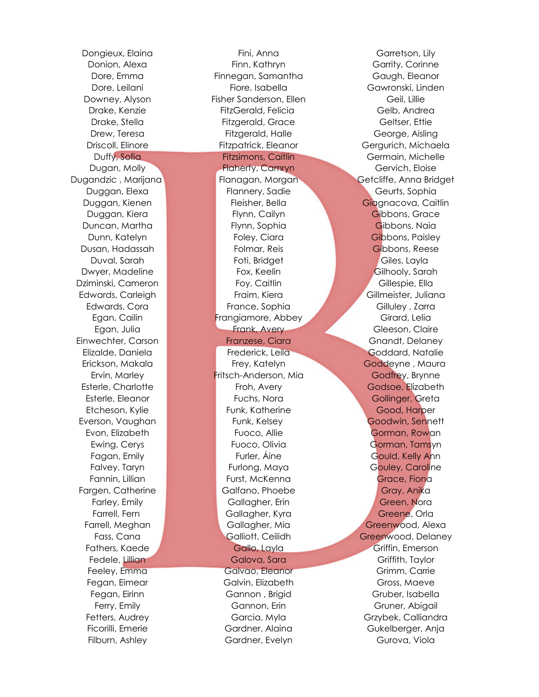Dongieux, Elaina Fini, Anna Garretson, Lily Donion, Alexa **Finn, Kathryn** Garrity, Corinne Dore, Emma Finnegan, Samantha Gaugh, Eleanor Dore, Leilani Fiore, Isabella Gawronski, Linden Downey, Alyson Fisher Sanderson, Ellen Fisher Geil, Lillie Drake, Kenzie FitzGerald, Felicia Gelb, Andrea Drake, Stella Fitzgerald, Grace Geltser, Ettie Drew, Teresa **Fitzgerald, Halle** George, Aisling Driscoll, Elinore Fitzpatrick, Eleanor Gergurich, Michaela Duffy, Sofia Fitzsimons, Caitlin Germain, Michelle Dugan, Molly Flaherty, Camryn Gervich, Eloise Dugandzic , Marijana Flanagan, Morgan Getcliffe, Anna Bridget Duggan, Elexa Flannery, Sadie Geurts, Sophia Duggan, Kienen Fleisher, Bella Giagnacova, Caitlin Duggan, Kiera **Flynn, Cailyn Gibbons, Grace** Duncan, Martha Flynn, Sophia Gibbons, Naia Dunn, Katelyn Foley, Ciara Gibbons, Paisley Dusan, Hadassah Folmar, Reis Gibbons, Reese Duval, Sarah **Foti, Bridget Giles, Layla** Foti, Bridget Giles, Layla Dwyer, Madeline **Fox, Keelin** Fox, Keelin Gilhooly, Sarah Dziminski, Cameron **Foy, Caitlin Foutburn Cillespie, Ella** Edwards, Carleigh Fraim, Kiera Gillmeister, Juliana Edwards, Cora **France, Sophia** France, Sophia Gilluley , Zarra Egan, Cailin **Frangiamore, Abbey Girard, Lelia** Egan, Julia **Frank, Avery Gleeson, Claire** Gleeson, Claire Einwechter, Carson **Franzese, Ciara Gnandt, Delaney** Gnandt, Delaney Elizalde, Daniela Frederick, Leila Goddard, Natalie Erickson, Makala **Katelyn Goddeyne , Maura** Frey, Katelyn Ervin, Marley Fritsch-Anderson, Mia Godfrey, Brynne Esterle, Charlotte **Froh, Avery Godsoe, Elizabeth** Godsoe, Elizabeth Esterle, Eleanor Fuchs, Nora Gollinger, Greta Etcheson, Kylie **Funk, Katherine Good, Harper** Everson, Vaughan **Funk, Kelsey Goodwin, Sennett** Evon, Elizabeth **Fuoco, Allie Gorman, Rowan** Ewing, Cerys **Fuoco, Olivia Gorman, Tamsyn** Fagan, Emily Furler, Áine Gould, Kelly Ann Falvey, Taryn **Furlong, Maya Gouley, Caroline** Furlong, Maya Gouley, Caroline Fannin, Lillian **Furst, McKenna Grace, Fiona** Grace, Fiona Fargen, Catherine **Galfano**, Phoebe Gray, Anika Farley, Emily **Gallagher, Erin** Gallagher, Erin Green, Nora Farrell, Fern Gallagher, Kyra Greene, Orla Farrell, Meghan Gallagher, Mia Greenwood, Alexa Fass, Cana **Galliott, Ceilidh Greenwood, Delaney** Fathers, Kaede Gallo, Layla Griffin, Emerson Fedele, Lillian Galova, Sara Galova, Sara Griffith, Taylor Feeley, Emma Galvao, Eleanor Grimm, Carrie Fegan, Eimear Galvin, Elizabeth Gross, Maeve Fegan, Eirinn Gannon , Brigid Gruber, Isabella Ferry, Emily **Example 3** Gannon, Erin Gruner, Abigail Fetters, Audrey **Garcia, Myla Gramman** Grzybek, Calliandra Ficorilli, Emerie Gardner, Alaina Gukelberger, Anja Filburn, Ashley Gardner, Evelyn Gurova, Viola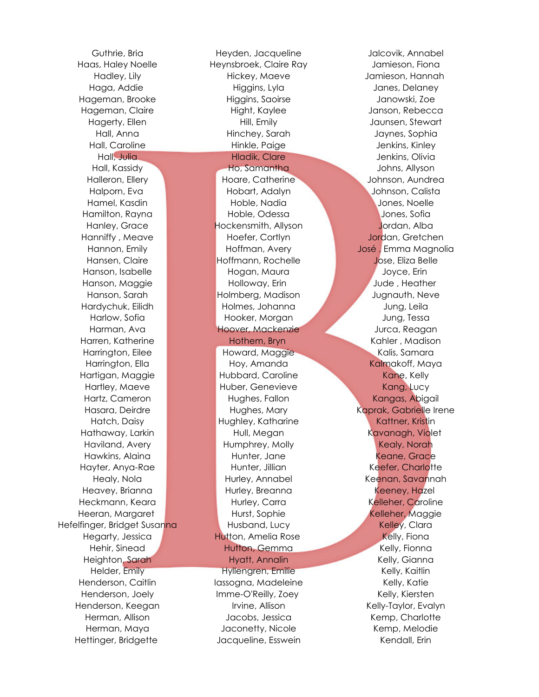Guthrie, Bria Heyden, Jacqueline Jalcovik, Annabel Hefelfinger, Bridget Susanna **Husband, Lucy Character Character States** Kelley, Clara

Haas, Haley Noelle Heynsbroek, Claire Ray Jamieson, Fiona Hadley, Lily Hickey, Maeve Jamieson, Hannah Haga, Addie Higgins, Lyla Janes, Delaney Hageman, Brooke Higgins, Saoirse Janowski, Zoe Hageman, Claire **Hight, Kaylee Manual** Janson, Rebecca Hagerty, Ellen Hill, Emily Jaunsen, Stewart Hall, Anna Hinchey, Sarah Jaynes, Sophia Hall, Caroline **Hinkle, Paige Hinkle, Paige Hinkle, Paige** Jenkins, Kinley Hall, Julia Hladik, Clare Jenkins, Olivia Hall, Kassidy Ho, Samantha Johns, Allyson Halleron, Ellery **Hoare, Catherine Manual Aundrea** Johnson, Aundrea Halporn, Eva **Hobart, Adalyn Johnson, Calista** Hamel, Kasdin Hoble, Nadia Jones, Noelle Hamilton, Rayna **Hoble, Odessa** Jones, Sofia Hanley, Grace Hockensmith, Allyson Jordan, Alba Hanniffy , Meave **Hoefer, Cortlyn Manniffy , Meave Allen According to Hoefer, Cortlyn According To According To** Hannon, Emily Hoffman, Avery José , Emma Magnolia Hansen, Claire Hoffmann, Rochelle Jose, Eliza Belle Hanson, Isabelle **Hogan, Maura Joyce, Erin** Hanson, Maggie **Holloway, Erin** Jude , Heather Hanson, Sarah Holmberg, Madison Jugnauth, Neve Hardychuk, Eilidh Holmes, Johanna Jung, Leila Harlow, Sofia Hooker, Morgan Jung, Tessa Harman, Ava **Hoover, Mackenzie Group Hoover, Mackenzie** Jurca, Reagan Harren, Katherine **Hothem, Bryn Kahler , Madison** Kahler , Madison Harrington, Eilee Howard, Maggie Kalis, Samara Harrington, Ella **Hoy, Amanda** Kalmakoff, Maya Hartigan, Maggie **Hubbard, Caroline Kane, Kelly** Hartley, Maeve Huber, Genevieve Kang, Lucy Hartz, Cameron **Hughes, Fallon Kangas, Abigail** Hughes, Fallon Kangas, Abigail Hasara, Deirdre Hughes, Mary Hughes, Mary Kaprak, Gabrielle Irene Hatch, Daisy **Hughley, Katharine Kattner, Kristin** Hathaway, Larkin **Mataubushin Hull, Megan Kavanagh, Violet** Haviland, Avery **Humphrey, Molly Kealy, Norah** Hawkins, Alaina **Hunter, Jane Hunter, Jane Keane, Grace** Hayter, Anya-Rae **Hunter, Jillian Keefer, Charlotte** Healy, Nola **Hurley, Annabel Keenan, Savannah** Heavey, Brianna **Hurley, Breanna** Hurley, Breanna Keeney, Hazel Heckmann, Keara **Hurley, Carra Carra Kelleher, Caroline** Heeran, Margaret **Hurst, Sophie Kelleher, Maggie** Kelleher, Maggie Hegarty, Jessica **Hutton, Amelia Rose** Kelly, Fiona Hehir, Sinead **Hutton, Gemma** Kelly, Fionna Heighton, Sarah **Hyatt, Annalin** Hyatt, Annalin Kelly, Gianna Helder, Emily **Hyllengren, Emilie Kelly, Kaitlin** Henderson, Caitlin Iassogna, Madeleine Iassogna, Madeleine Kelly, Katie Henderson, Joely **Imme-O'Reilly, Zoey** Kelly, Kiersten Henderson, Keegan Irvine, Allison Kelly-Taylor, Evalyn Herman, Allison **Jacobs, Jessica** Kemp, Charlotte Herman, Maya **Manufary Herman, Maya Manufary Jaconetty, Nicole** Kemp, Melodie Hettinger, Bridgette Jacqueline, Esswein Kendall, Erin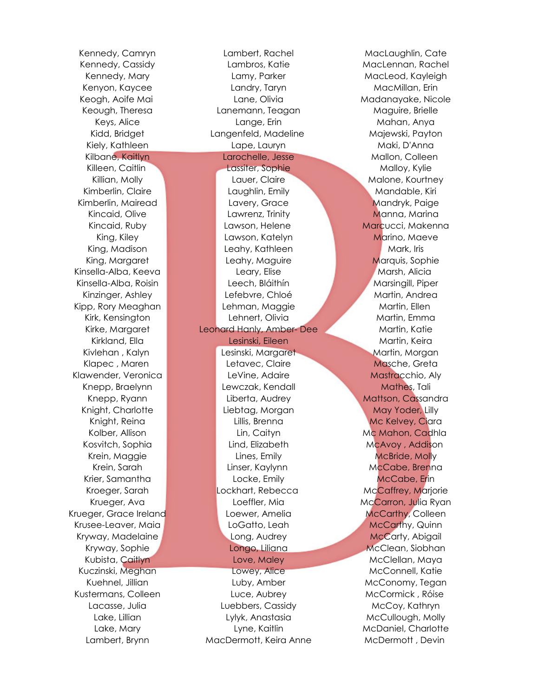Lambert, Brynn MacDermott, Keira Anne McDermott , Devin

Kennedy, Camryn Lambert, Rachel MacLaughlin, Cate Kennedy, Cassidy **Lambros, Katie MacLennan, Rachel** Kennedy, Mary **Lamy, Parker MacLeod, Kayleigh** MacLeod, Kayleigh Kenyon, Kaycee Landry, Taryn MacMillan, Erin Keogh, Aoife Mai **Mataubushi Lane, Olivia** Madanayake, Nicole Keough, Theresa **Lanemann**, Teagan Maguire, Brielle Keys, Alice Lange, Erin Mahan, Anya Kidd, Bridget **Langenfeld, Madeline Majewski, Payton** Kiely, Kathleen Lape, Lauryn Maki, D'Anna Kilbane, Kaitlyn Larochelle, Jesse Mallon, Colleen Killeen, Caitlin **Lassiter, Sophie Malloy, Kylie** Malloy, Kylie Killian, Molly **Lauer, Claire Malone, Kourtney** Kimberlin, Claire **Laughlin, Emily Mandable, Kiri** Laughlin, Emily Mandable, Kiri Kimberlin, Mairead Lavery, Grace Mandryk, Paige Kincaid, Olive Lawrenz, Trinity Manna, Marina Kincaid, Ruby Lawson, Helene Marcucci, Makenna King, Kiley **Lawson, Katelyn Marino, Maeve** King, Madison Leahy, Kathleen Mark, Iris Mark, Iris King, Margaret **Leahy, Maguire Marquis, Sophie** Leahy, Maguire Marquis, Sophie Kinsella-Alba, Keeva Leary, Elise Marsh, Alicia Kinsella-Alba, Roisin Leech, Bláithín Marsingill, Piper Kinzinger, Ashley **Lefebvre, Chloé** Martin, Andrea Kipp, Rory Meaghan **Lehman, Maggie Martin, Ellen** Kirk, Kensington **Lehnert, Olivia Martin, Emma** Kirke, Margaret Leonard Hanly, Amber- Dee Martin, Katie Kirkland, Ella Lesinski, Eileen Martin, Keira Kivlehan , Kalyn Lesinski, Margaret Martin, Morgan Martin, Morgan Klapec , Maren Letavec, Claire Masche, Greta Klawender, Veronica **Matheuse Levine, Adaire** Mastracchio, Aly Knepp, Braelynn Lewczak, Kendall Mathes, Tali Knepp, Ryann Liberta, Audrey Mattson, Cassandra Knight, Charlotte Liebtag, Morgan May Yoder, Lilly Knight, Reina **Mc Kelvey, Ciara** Lillis, Brenna Mc Kelvey, Ciara Kolber, Allison Lin, Caityn Lin, Caityn Mc Mahon, Cadhla Kosvitch, Sophia Lind, Elizabeth McAvoy , Addison Krein, Maggie **Markell McBride, Molly McBride, Molly** Lines, Emily **McBride, Molly** Krein, Sarah **Linser, Kaylynn** McCabe, Brenna Krier, Samantha **Locke, Emily McCabe, Erin** Locke, Emily McCabe, Erin Kroeger, Sarah **Lockhart, Rebecca** McCaffrey, Marjorie Krueger, Ava Loeffler, Mia McCarron, Julia Ryan Krueger, Grace Ireland Loewer, Amelia McCarthy, Colleen Krusee-Leaver, Maia **McCarthy, Quinn** LoGatto, Leah McCarthy, Quinn Kryway, Madelaine **Long, Audrey McCarty, Abigail** Kryway, Sophie **Longo, Liliana McClean, Siobhan** Kubista, Caitlyn Love, Maley Charles McClellan, Maya Kuczinski, Meghan **McConnell, Katie** Lowey, Alice McConnell, Katie Kuehnel, Jillian Luby, Amber McConomy, Tegan Kustermans, Colleen Luce, Aubrey McCormick , Róise Lacasse, Julia Luebbers, Cassidy McCoy, Kathryn Lake, Lillian Lylyk, Anastasia McCullough, Molly Lake, Mary **Lyne, Kaitlin** McDaniel, Charlotte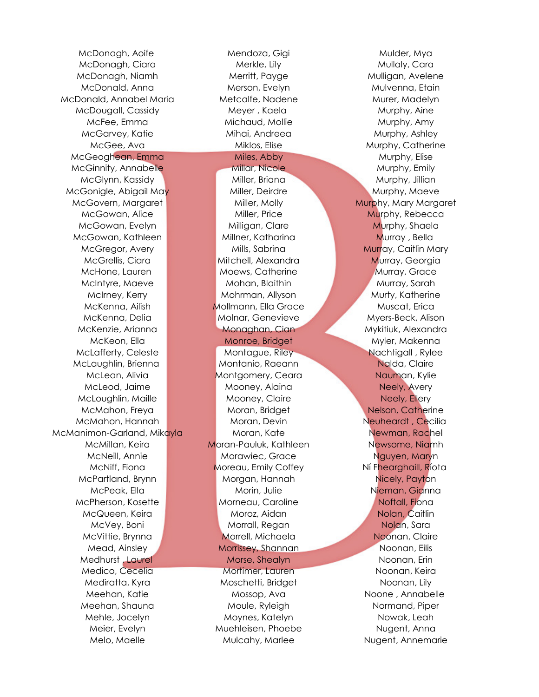McDonagh, Aoife **Mendoza, Gigi Mendoza, Gigi Mulder**, Mya McDonald, Annabel Maria **Metcalfe, Nadene** Murer, Madelyn McGeoghean, Emma Miles, Abby Murphy, Elise McGinnity, Annabelle Millar, Nicole Mullar, Millar, Murphy, Emily McGonigle, Abigail May Miller, Deirdre Muller, Muller Murphy, Maeve McGovern, Margaret **Miller, Molly Muller, Molly Murphy, Mary Margaret** McGowan, Kathleen Millner, Katharina Murray , Bella McLaughlin, Brienna Montanio, Raeann Nalda, Claire McManimon-Garland, Mikayla Moran, Kate Newman, Rachel

McDonagh, Ciara Merkle, Lily Mullaly, Cara McDonagh, Niamh **Merritt, Payge Mulligan, Avelene** McDonald, Anna Merson, Evelyn Mulvenna, Etain McDougall, Cassidy **Meyer , Kaela** Murphy, Aine McFee, Emma **Michaud, Mollie** Murphy, Amy McGarvey, Katie **Mihai, Andreea** Murphy, Ashley McGee, Ava Miklos, Elise Murphy, Catherine McGlynn, Kassidy Miller, Briana Murphy, Jillian McGowan, Alice Miller, Price Miller, Price Murphy, Rebecca McGowan, Evelyn Milligan, Clare Murphy, Shaela McGregor, Avery **Mulls, Sabrina Mulls, Sabrina Murray**, Caitlin Mary McGrellis, Ciara **Mitchell, Alexandra Murray, Georgia** McHone, Lauren **Moews, Catherine Multiple August** Murray, Grace McIntyre, Maeve **Mohan, Blaithin** Mohan, Blaithin Murray, Sarah McIrney, Kerry **Music Mohrman, Allyson** Murty, Katherine McKenna, Ailish Mollmann, Ella Grace Muscat, Erica McKenna, Delia Molnar, Genevieve Myers-Beck, Alison McKenzie, Arianna **Monaghan, Cian Mykitiuk, Alexandra** McKeon, Ella Monroe, Bridget Myler, Makenna McLafferty, Celeste **Montague, Riley Nachtigall** , Rylee McLean, Alivia **Montgomery, Ceara** Mauman, Kylie McLeod, Jaime **Mooney, Alaina** Neely, Avery McLoughlin, Maille **Mooney, Claire** Mooney, Claire Neely, Ellery McMahon, Freya Moran, Bridget Nelson, Catherine McMahon, Hannah **Moran, Moran, Devin** Moran, Devin Neuheardt , Cecilia McMillan, Keira **Moran-Pauluk, Kathleen** Newsome, Niamh McNeill, Annie Morawiec, Grace Maryn Nguyen, Maryn McNiff, Fiona **Moreau, Emily Coffey** Ní Fhearghaill, Ríota McPartland, Brynn Morgan, Hannah Nicely, Payton McPeak, Ella Morin, Julie Nieman, Gianna McPherson, Kosette **Morneau, Caroline Morneau, Caroline** Noftall, Fiona McQueen, Keira **Moroz, Aidan Nolan, Caitlin** Moroz, Aidan Nolan, Caitlin McVey, Boni **Morrall, Regan Nolan, Sara** Nolan, Sara McVittie, Brynna Morrell, Michaela Noonan, Claire Mead, Ainsley Morrissey, Shannan Noonan, Eilis Medhurst , Laurel Morse, Shealyn Noonan, Erin Medico, Cecelia Mortimer, Lauren Noonan, Keira Mediratta, Kyra Moschetti, Bridget Noonan, Lily Meehan, Katie **Mossop, Ava** Noone , Annabelle Meehan, Shauna **Moule, Ryleigh** Moule, Ryleigh Normand, Piper Mehle, Jocelyn Moynes, Katelyn Nowak, Leah Meier, Evelyn Muehleisen, Phoebe Nugent, Anna Melo, Maelle **Mulcahy, Marlee Charles Annemarie** Nugent, Annemarie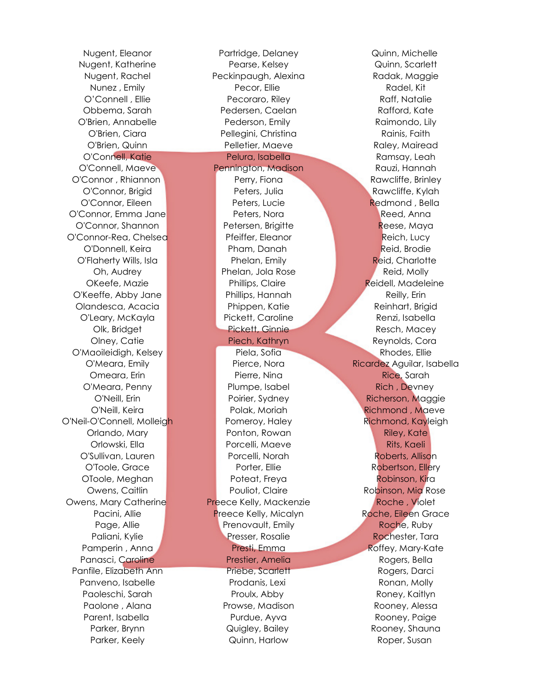Nugent, Eleanor Partridge, Delaney Quinn, Michelle Nugent, Katherine Pearse, Kelsey Quinn, Scarlett Nugent, Rachel Peckinpaugh, Alexina Radak, Maggie Nunez, Emily **Radel, Kitchen State Controller Controller** Pecor, Ellie **Radel, Acceleration Radel**, Kitchen O'Connell , Ellie **Ratalie Recoraro, Riley Raff, Natalie** Raff, Natalie Obbema, Sarah **Pedersen, Caelan Rafford, Kate** O'Brien, Annabelle Pederson, Emily Raimondo, Lily O'Brien, Ciara Pellegini, Christina Rainis, Faith O'Brien, Quinn **Pelletier, Maeve** Raley, Mairead O'Connell, Katie Pelura, Isabella Ramsay, Leah O'Connell, Maeve Pennington, Madison Rauzi, Hannah O'Connor , Rhiannon **Perry, Fiona** Perry, Fiona Rawcliffe, Brinley O'Connor, Brigid Peters, Julia Rawcliffe, Kylah O'Connor, Eileen **Peters, Lucie Redmond , Bella** O'Connor, Emma Jane Peters, Nora Reed, Anna O'Connor, Shannon Petersen, Brigitte Reese, Maya O'Connor-Rea, Chelsea **Pfeiffer, Eleanor Pfeiffer, Eleanor** Reich, Lucy O'Donnell, Keira Pham, Danah Reid, Brodie O'Flaherty Wills, Isla **Phelan, Emily Reid, Charlotte** Reid, Charlotte Oh, Audrey **Phelan, Jola Rose Reid, Molly Reid, Molly** OKeefe, Mazie **Phillips, Claire Reidell, Madeleine** O'Keeffe, Abby Jane Phillips, Hannah Reilly, Erin Olandesca, Acacia Phippen, Katie Reinhart, Brigid O'Leary, McKayla Pickett, Caroline Renzi, Isabella Olk, Bridget Pickett, Ginnie Resch, Macey Olney, Catie Piech, Kathryn Reynolds, Cora O'Maoileidigh, Kelsey Piela, Sofia Rhodes, Ellie O'Meara, Emily Pierce, Nora Ricardez Aguilar, Isabella **Omeara, Erin Pierre, Nina Rice, Sarah Rice, Sarah Rice, Sarah Rice, Sarah Rice, Sarah Rice, Sarah Rice, Sarah** O'Meara, Penny **Plumpe, Isabel Rich , Devney** Plumpe, Isabel Rich , Devney O'Neill, Erin Poirier, Sydney Richerson, Maggie O'Neill, Keira Polak, Moriah Richmond , Maeve O'Neil-O'Connell, Molleigh Pomeroy, Haley Richmond, Kayleigh Orlando, Mary **Ponton, Rowan Riley, Kate** Orlowski, Ella **Porcelli, Maeve Rits, Kaeli** O'Sullivan, Lauren Porcelli, Norah Roberts, Allison O'Toole, Grace **Porter, Ellie Robertson, Ellery** Porter, Ellie OToole, Meghan Poteat, Freya Robinson, Kira Owens, Caitlin Pouliot, Claire Robinson, Mia Rose Owens, Mary Catherine **Preece Kelly, Mackenzie Communist Communist Preece Kelly**, Mackenzie **Roche** , Violet Pacini, Allie **Preece Kelly, Micalyn Castelly, Micalyn** Roche, Eileen Grace Page, Allie **Prenovault, Emily Roche, Ruby Roche**, Ruby Paliani, Kylie Presser, Rosalie Rochester, Tara Pamperin , Anna Presti, Emma Roffey, Mary-Kate Panasci, Caroline Prestier, Amelia Rogers, Bella Panfile, Elizabeth Ann Priebe, Scarlett Rogers, Darci Panveno, Isabelle **Prodanis, Lexi** Prodanis, Lexi Ronan, Molly Paoleschi, Sarah Proulx, Abby Roney, Kaitlyn Paolone , Alana **Prowse, Madison Rooney, Alessa** Prowse, Madison Parent, Isabella **Purdue, Ayva** Rooney, Paige Parker, Brynn **Rooney, State Automaker, Shauna** Quigley, Bailey Rooney, Shauna Parker, Keely **Roper, Susan Roper, Susan Quinn, Harlow** Roper, Susan Roper, Susan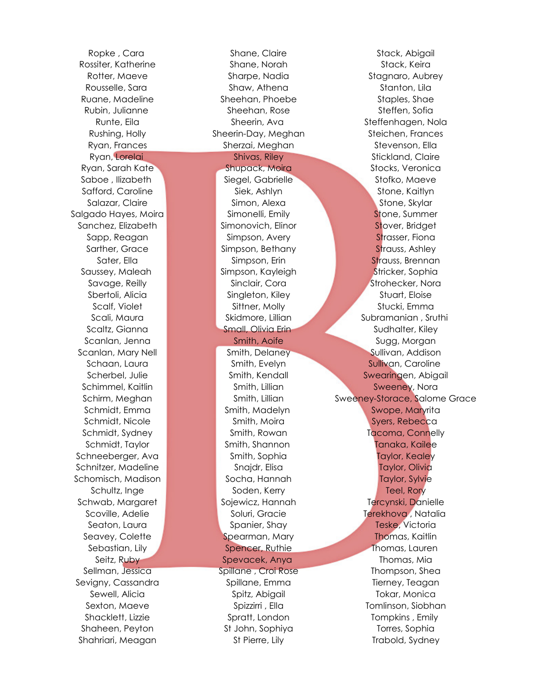Shaheen, Peyton St John, Sophiya St John, Sophiya Torres, Sophia Shahriari, Meagan St Pierre, Lily Trabold, Sydney

Rossiter, Katherine Shane, Norah Stack, Keira Rotter, Maeve Sharpe, Nadia Stagnaro, Aubrey Rousselle, Sara Shaw, Athena Stanton, Lila Ruane, Madeline Sheehan, Phoebe Staples, Shae Rubin, Julianne Sheehan, Rose Steffen, Sofia Runte, Eila Sheerin, Ava Sheerin, Ava Steffenhagen, Nola Rushing, Holly Sheerin-Day, Meghan Steichen, Frances Ryan, Frances Sherzai, Meghan Stevenson, Ella Ryan, Lorelai Shivas, Riley Shivas, Riley Stickland, Claire Ryan, Sarah Kate Shupack, Moira Shupack, Moira Stocks, Veronica Saboe , Ilizabeth Siegel, Gabrielle Stofko, Maeve Safford, Caroline Siek, Ashlyn Stone, Kaitlyn Stone, Kaitlyn Salazar, Claire Simon, Alexa Stone, Skylar Salgado Hayes, Moira **Simonelli**, Emily Stone, Summer Sanchez, Elizabeth Simonovich, Elinor Stover, Bridget Sapp, Reagan Simpson, Avery Strasser, Fional Sarther, Grace Simpson, Bethany Strauss, Ashley Sater, Ella Sater Simpson, Erin Strauss, Brennan Saussey, Maleah **Stricker, Sophia** Stricker, Sophia Savage, Reilly Sinclair, Cora Strohecker, Nora Sbertoli, Alicia **Singleton, Kiley Stuart, Stuart, Eloise** Scalf, Violet Sittner, Molly Stucki, Emma Scali, Maura National Skidmore, Lillian Subramanian , Sruthi Scaltz, Gianna **Small, Olivia Erin Sudhalter, Kiley** Sudhalter, Kiley Scanlan, Jenna Smith, Aoife Sugg, Morgan Sugg, Morgan Scanlan, Mary Nell Smith, Delaney Sullivan, Addison Schaan, Laura Smith, Evelyn Sullivan, Caroline Scherbel, Julie **Smith, Kendall Swearingen, Abigail** Swearingen, Abigail Schimmel, Kaitlin Schimmel, Kaitlin Schimmel, Kaitlin Smith, Lillian Sweeney, Nora Schmidt, Emma Smith, Madelyn Swope, Maryrita Schmidt, Nicole Smith, Moira Smith, Moira Syers, Rebecca Schmidt, Sydney Smith, Rowan Tacoma, Connelly Schmidt, Taylor Smith, Shannon Tanaka, Kailee Schneeberger, Ava Smith, Sophia Taylor, Kealey Schnitzer, Madeline **State Controller Snajdr, Elisa** Taylor, Olivia Schomisch, Madison Socha, Hannah Taylor, Sylvie Schultz, Inge Soden, Kerry Teel, Rory Teel, Rory Schwab, Margaret **Solewicz, Hannah Tercynski, Danielle** Scoville, Adelie National Soluri, Gracie Communication and Terekhova , Natalia Seaton, Laura North Channels, Spanier, Shay Teske, Victoria Seavey, Colette Spearman, Mary Thomas, Kaitlin Sebastian, Lily Spencer, Ruthie Thomas, Lauren Seitz, Ruby Spevacek, Anya Thomas, Mia Sellman, Jessica Spillane , Croi Rose Thompson, Shea Sevigny, Cassandra Spillane, Emma Tierney, Teagan Sewell, Alicia **Spitz, Abigail Sewell, Alicia** Tokar, Monica Sexton, Maeve Spizzirri , Ella Tomlinson, Siobhan Shacklett, Lizzie Spratt, London Tompkins , Emily

Ropke , Cara Shane, Claire Shane, Claire Stack, Abigail Schirm, Meghan Smith, Lillian Sweeney-Storace, Salome Grace